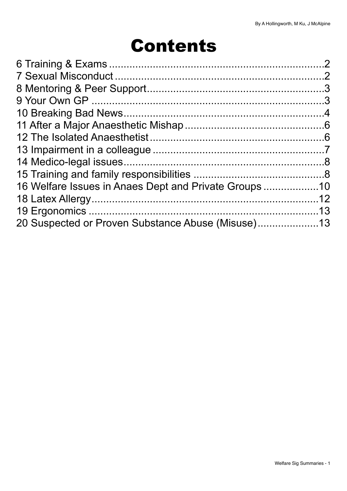# Contents

| 16 Welfare Issues in Anaes Dept and Private Groups 10 |  |
|-------------------------------------------------------|--|
|                                                       |  |
|                                                       |  |
| 20 Suspected or Proven Substance Abuse (Misuse)13     |  |
|                                                       |  |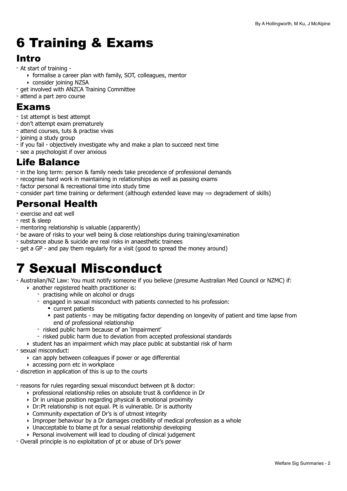# <span id="page-1-0"></span>6 Training & Exams

## Intro

- At start of training
	- ‣ formalise a career plan with family, SOT, colleagues, mentor
	- ‣ consider joining NZSA
- get involved with ANZCA Training Committee
- attend a part zero course

### Exams

- 1st attempt is best attempt
- don't attempt exam prematurely
- attend courses, tuts & practise vivas
- joining a study group
- if you fail objectively investigate why and make a plan to succeed next time
- see a psychologist if over anxious

### Life Balance

- in the long term: person & family needs take precedence of professional demands
- recognise hard work in maintaining in relationships as well as passing exams
- factor personal & recreational time into study time
- consider part time training or deferment (although extended leave may  $\Rightarrow$  degradement of skills)

### Personal Health

- exercise and eat well
- rest & sleep
- mentoring relationship is valuable (apparently)
- be aware of risks to your well being & close relationships during training/examination
- substance abuse & suicide are real risks in anaesthetic trainees
- get a GP and pay them regularly for a visit (good to spread the money around)

## <span id="page-1-1"></span>7 Sexual Misconduct

- Australian/NZ Law: You must notify someone if you believe (presume Australian Med Council or NZMC) if:
	- ‣ another registered health practitioner is:
		- practising while on alcohol or drugs
		- engaged in sexual misconduct with patients connected to his profession:
			- current patients
			- past patients may be mitigating factor depending on longevity of patient and time lapse from end of professional relationship
		- risked public harm because of an 'impairment'
		- risked public harm due to deviation from accepted professional standards
	- ‣ student has an impairment which may place public at substantial risk of harm
- sexual misconduct:
	- ‣ can apply between colleagues if power or age differential
- $\rightarrow$  accessing porn etc in workplace
- discretion in application of this is up to the courts
- reasons for rules regarding sexual misconduct between pt & doctor:
	- ‣ professional relationship relies on absolute trust & confidence in Dr
	- ‣ Dr in unique position regarding physical & emotional proximity
	- ‣ Dr:Pt relationship is not equal. Pt is vulnerable. Dr is authority
	- ‣ Community expectation of Dr's is of utmost integrity
	- ‣ Improper behaviour by a Dr damages credibility of medical profession as a whole
	- ‣ Unacceptable to blame pt for a sexual relationship developing
	- ‣ Personal involvement will lead to clouding of clinical judgement
- Overall principle is no exploitation of pt or abuse of Dr's power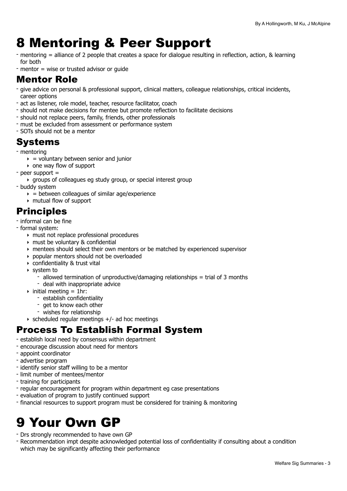## <span id="page-2-0"></span>8 Mentoring & Peer Support

- mentoring = alliance of 2 people that creates a space for dialogue resulting in reflection, action, & learning for both
- mentor = wise or trusted advisor or guide

### Mentor Role

- give advice on personal & professional support, clinical matters, colleague relationships, critical incidents, career options
- act as listener, role model, teacher, resource facilitator, coach
- should not make decisions for mentee but promote reflection to facilitate decisions
- should not replace peers, family, friends, other professionals
- must be excluded from assessment or performance system
- SOTs should not be a mentor

### Systems

- mentoring
	- $\rightarrow$  = voluntary between senior and junior
	- ‣ one way flow of support
- peer support =
	- ‣ groups of colleagues eg study group, or special interest group
- buddy system
	- $\rightarrow$  = between colleagues of similar age/experience
	- ‣ mutual flow of support

## Principles

- informal can be fine
- formal system:
	- ‣ must not replace professional procedures
	- ‣ must be voluntary & confidential
	- ‣ mentees should select their own mentors or be matched by experienced supervisor
	- ‣ popular mentors should not be overloaded
	- ‣ confidentiality & trust vital
	- ‣ system to
		- allowed termination of unproductive/damaging relationships = trial of 3 months
		- deal with inappropriate advice
	- $\rightarrow$  initial meeting = 1hr:
		- establish confidentiality
		- get to know each other
		- wishes for relationship
	- $\rightarrow$  scheduled regular meetings  $+/-$  ad hoc meetings

## Process To Establish Formal System

- establish local need by consensus within department
- encourage discussion about need for mentors
- appoint coordinator
- advertise program
- identify senior staff willing to be a mentor
- limit number of mentees/mentor
- training for participants
- regular encouragement for program within department eg case presentations
- evaluation of program to justify continued support
- financial resources to support program must be considered for training & monitoring

## <span id="page-2-1"></span>9 Your Own GP

- Drs strongly recommended to have own GP
- Recommendation impt despite acknowledged potential loss of confidentiality if consulting about a condition which may be significantly affecting their performance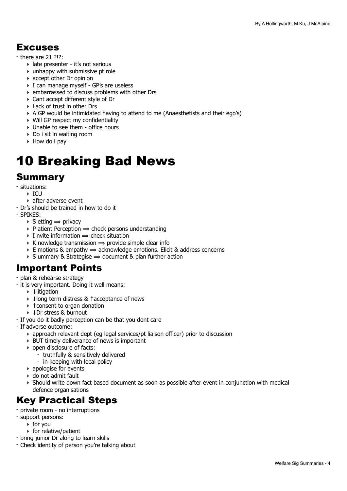### Excuses

- there are 21 ?!?:
	- ‣ late presenter it's not serious
	- $\rightarrow$  unhappy with submissive pt role
	- ‣ accept other Dr opinion
	- ‣ I can manage myself GP's are useless
	- ‣ embarrassed to discuss problems with other Drs
	- ‣ Cant accept different style of Dr
	- ‣ Lack of trust in other Drs
	- ‣ A GP would be intimidated having to attend to me (Anaesthetists and their ego's)
	- ‣ Will GP respect my confidentiality
	- ‣ Unable to see them office hours
	- ‣ Do i sit in waiting room
	- ‣ How do i pay

# <span id="page-3-0"></span>10 Breaking Bad News

### Summary

- situations:
	- $\triangleright$  ICU
	- ‣ after adverse event
- Dr's should be trained in how to do it
- SPIKES:
	- $\triangleright$  S etting  $\Rightarrow$  privacy
	- $\rightarrow$  P atient Perception  $\Rightarrow$  check persons understanding
	- $\rightarrow$  I nvite information  $\Rightarrow$  check situation
	- $\triangleright$  K nowledge transmission  $\Rightarrow$  provide simple clear info
	- $\triangleright$  E motions & empathy  $\Rightarrow$  acknowledge emotions. Elicit & address concerns
	- $\rightarrow$  S ummary & Strategise  $\rightarrow$  document & plan further action

### Important Points

- plan & rehearse strategy
- it is very important. Doing it well means:
	- ‣ ↓litigation
	- ‣ ↓long term distress & ↑acceptance of news
	- ‣ ↑consent to organ donation
	- ‣ ↓Dr stress & burnout
- If you do it badly perception can be that you dont care
- If adverse outcome:
	- ‣ approach relevant dept (eg legal services/pt liaison officer) prior to discussion
	- ‣ BUT timely deliverance of news is important
	- ‣ open disclosure of facts:
		- truthfully & sensitively delivered
		- in keeping with local policy
	- ‣ apologise for events
	- ‣ do not admit fault
	- ‣ Should write down fact based document as soon as possible after event in conjunction with medical defence organisations

### Key Practical Steps

- private room no interruptions
- support persons:
	- ‣ for you
	- ‣ for relative/patient
- bring junior Dr along to learn skills
- Check identity of person you're talking about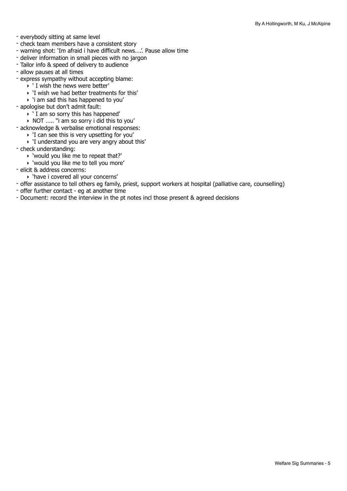- everybody sitting at same level
- check team members have a consistent story
- warning shot: 'Im afraid i have difficult news….'. Pause allow time
- deliver information in small pieces with no jargon
- Tailor info & speed of delivery to audience
- allow pauses at all times
- express sympathy without accepting blame:
	- ‣ ' I wish the news were better'
	- ‣ 'I wish we had better treatments for this'
	- $\rightarrow$  'i am sad this has happened to you'
- apologise but don't admit fault:
	- $\rightarrow$  ' I am so sorry this has happened'
	- ‣ NOT ….. "i am so sorry i did this to you'
- acknowledge & verbalise emotional responses:
	- ‣ 'I can see this is very upsetting for you'
	- ‣ 'I understand you are very angry about this'
- check understanding:
	- ‣ 'would you like me to repeat that?'
	- ‣ 'would you like me to tell you more'
- elicit & address concerns:
- ‣ 'have i covered all your concerns'
- offer assistance to tell others eg family, priest, support workers at hospital (palliative care, counselling)
- offer further contact eg at another time
- Document: record the interview in the pt notes incl those present & agreed decisions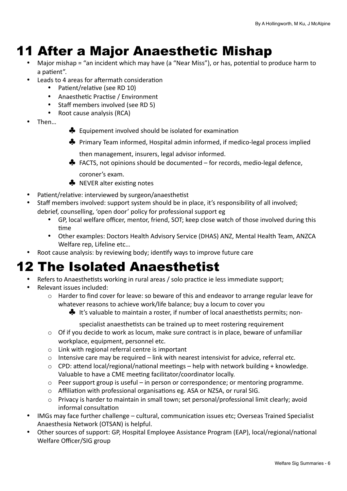## <span id="page-5-0"></span>11 After a Major Anaesthetic Mishap

- Major mishap = "an incident which may have (a "Near Miss"), or has, potential to produce harm to a patient".
	- Leads to 4 areas for aftermath consideration
		- Patient/relative (see RD 10)
		- Anaesthetic Practise / Environment
		- Staff members involved (see RD 5)
		- Root cause analysis (RCA)
- Then…
- $\clubsuit$  Equipement involved should be isolated for examination
- ◆ Primary Team informed, Hospital admin informed, if medico-legal process implied
	- then management, insurers, legal advisor informed.
- $\clubsuit$  FACTS, not opinions should be documented for records, medio-legal defence,
- coroner's exam.
- $\clubsuit$  NEVER alter existing notes
- Patient/relative: interviewed by surgeon/anaesthetist
- Staff members involved: support system should be in place, it's responsibility of all involved: debrief, counselling, 'open door' policy for professional support eg
	- GP, local welfare officer, mentor, friend, SOT; keep close watch of those involved during this time
	- Other examples: Doctors Health Advisory Service (DHAS) ANZ, Mental Health Team, ANZCA Welfare rep, Lifeline etc...
- Root cause analysis: by reviewing body; identify ways to improve future care

## <span id="page-5-1"></span>12 The Isolated Anaesthetist

- Refers to Anaesthetists working in rural areas / solo practice ie less immediate support;
- Relevant issues included:
	- $\circ$  Harder to find cover for leave: so beware of this and endeavor to arrange regular leave for whatever reasons to achieve work/life balance; buy a locum to cover you
		- $\clubsuit$  It's valuable to maintain a roster, if number of local anaesthetists permits; non-

specialist anaesthetists can be trained up to meet rostering requirement

- $\circ$  Of if you decide to work as locum, make sure contract is in place, beware of unfamiliar workplace, equipment, personnel etc.
- $\circ$  Link with regional referral centre is important
- $\circ$  Intensive care may be required link with nearest intensivist for advice, referral etc.
- $\circ$  CPD: attend local/regional/national meetings help with network building + knowledge. Valuable to have a CME meeting facilitator/coordinator locally.
- $\circ$  Peer support group is useful in person or correspondence; or mentoring programme.
- $\circ$  Affiliation with professional organisations eg. ASA or NZSA, or rural SIG.
- $\circ$  Privacy is harder to maintain in small town; set personal/professional limit clearly; avoid informal consultation
- IMGs may face further challenge cultural, communication issues etc; Overseas Trained Specialist Anaesthesia Network (OTSAN) is helpful.
- Other sources of support: GP, Hospital Employee Assistance Program (EAP), local/regional/national Welfare Officer/SIG group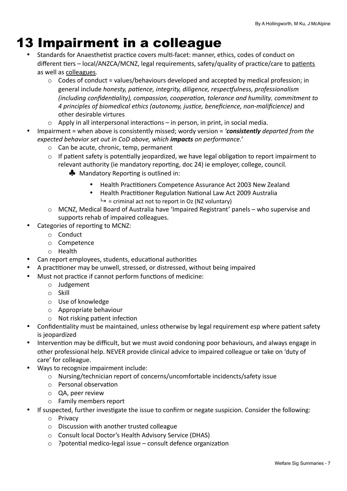## <span id="page-6-0"></span>13 Impairment in a colleague

- Standards for Anaesthetist practice covers multi-facet: manner, ethics, codes of conduct on different tiers - local/ANZCA/MCNZ, legal requirements, safety/quality of practice/care to patients as well as colleagues.
	- $\circ$  Codes of conduct = values/behaviours developed and accepted by medical profession; in general include *honesty, patience, integrity, diligence, respectfulness, professionalism (including confidentiality), compassion, cooperation, tolerance and humility, commitment to 4 principles of biomedical ethics (autonomy, jus,ce, beneficience, non-malificience)* and other desirable virtures
	- $\circ$  Apply in all interpersonal interactions in person, in print, in social media.
- Impairment = when above is consistently missed; wordy version = '*consistently* departed from the *expected behavior set out in CoD above, which impacts on performance.'*
	- $\circ$  Can be acute, chronic, temp, permanent
	- $\circ$  If patient safety is potentially jeopardized, we have legal obligation to report impairment to relevant authority (ie mandatory reporting, doc 24) ie employer, college, council.
		- $\clubsuit$  Mandatory Reporting is outlined in:
			- Health Practitioners Competence Assurance Act 2003 New Zealand
			- Health Practitioner Regulation National Law Act 2009 Australia  $ightharpoonup$  = criminal act not to report in Oz (NZ voluntary)
	- $\circ$  MCNZ, Medical Board of Australia have 'Impaired Registrant' panels who supervise and supports rehab of impaired colleagues.
- Categories of reporting to MCNZ:
	- o Conduct
	- o Competence
	- o Health
- Can report employees, students, educational authorities
- A practitioner may be unwell, stressed, or distressed, without being impaired
- Must not practice if cannot perform functions of medicine:
	- o Judgement
	- o Skill
	- o Use of knowledge
	- $\circ$  Appropriate behaviour
	- $\circ$  Not risking patient infection
- Confidentiality must be maintained, unless otherwise by legal requirement esp where patient safety is jeopardized
- Intervention may be difficult, but we must avoid condoning poor behaviours, and always engage in other professional help. NEVER provide clinical advice to impaired colleague or take on 'duty of care' for colleague.
- Ways to recognize impairment include:
	- $\circ$  Nursing/technician report of concerns/uncomfortable incidencts/safety issue
	- $\circ$  Personal observation
	- o QA, peer review
	- o Family members report
- If suspected, further investigate the issue to confirm or negate suspicion. Consider the following:
	- o Privacy
	- $\circ$  Discussion with another trusted colleague
	- Consult local Doctor's Health Advisory Service (DHAS)
	- $\circ$  ?potential medico-legal issue consult defence organization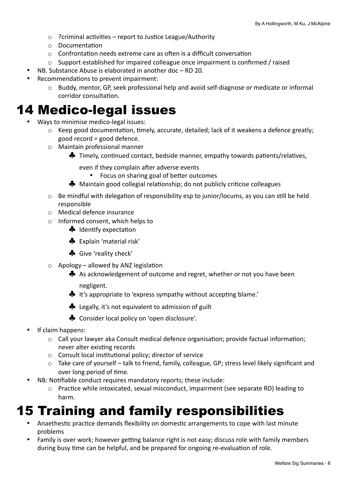- $\circ$  ?criminal activities report to Justice League/Authority
- $\circ$  Documentation
- $\circ$  Confrontation needs extreme care as often is a difficult conversation
- $\circ$  Support established for impaired colleague once impairment is confirmed / raised
- NB. Substance Abuse is elaborated in another  $doc RD$  20.
- Recommendations to prevent impairment:
	- $\circ$  Buddy, mentor, GP, seek professional help and avoid self-diagnose or medicate or informal corridor consultation.

## <span id="page-7-0"></span>14 Medico-legal issues

- Ways to minimise medico-legal issues:
	- $\circ$  Keep good documentation, timely, accurate, detailed; lack of it weakens a defence greatly;  $good record = good defence.$
	- $\circ$  Maintain professional manner
		- $\clubsuit$  Timely, continued contact, bedside manner, empathy towards patients/relatives,

even if they complain after adverse events

- Focus on sharing goal of better outcomes
- $\clubsuit$  Maintain good collegial relationship; do not publicly criticise colleagues
- $\circ$  Be mindful with delegation of responsibility esp to junior/locums, as you can still be held responsible
- $\circ$  Medical defence insurance
- $\circ$  Informed consent, which helps to
	- $\clubsuit$  Identify expectation
	- ♣ Explain 'material risk'
	- ♣ Give 'reality check'
- $\circ$  Apology allowed by ANZ legislation
	- $\clubsuit$  As acknowledgement of outcome and regret, whether or not you have been negligent.
	- $\clubsuit$  It's appropriate to 'express sympathy without accepting blame.'
	- ◆ Legally, it's not equivalent to admission of guilt
	- ◆ Consider local policy on 'open disclosure'.
- If claim happens:
	- $\circ$  Call your lawyer aka Consult medical defence organisation; provide factual information; never alter existing records
	- $\circ$  Consult local institutional policy; director of service
	- o Take care of yourself talk to friend, family, colleague, GP; stress level likely significant and over long period of time.
- NB: Notifiable conduct requires mandatory reports; these include:
	- o Practice while intoxicated, sexual misconduct, impairment (see separate RD) leading to harm.

## <span id="page-7-1"></span>15 Training and family responsibilities

- Anaethestic practice demands flexibility on domestic arrangements to cope with last minute problems
- Family is over work; however getting balance right is not easy; discuss role with family members during busy time can be helpful, and be prepared for ongoing re-evaluation of role.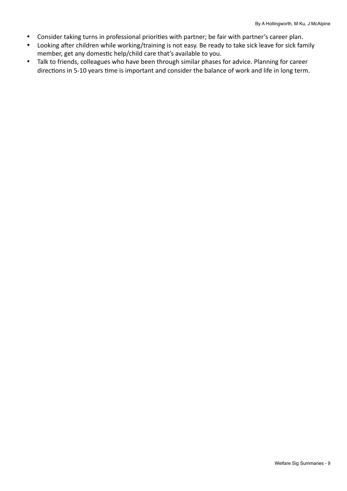- Consider taking turns in professional priorities with partner; be fair with partner's career plan.
- Looking after children while working/training is not easy. Be ready to take sick leave for sick family member, get any domestic help/child care that's available to you.
- Talk to friends, colleagues who have been through similar phases for advice. Planning for career directions in 5-10 years time is important and consider the balance of work and life in long term.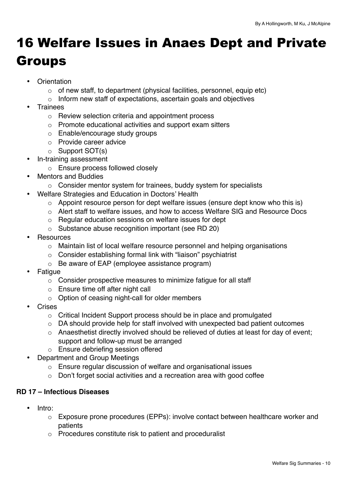# <span id="page-9-0"></span>16 Welfare Issues in Anaes Dept and Private Groups

- Orientation
	- $\circ$  of new staff, to department (physical facilities, personnel, equip etc)
	- o Inform new staff of expectations, ascertain goals and objectives
- **Trainees** 
	- o Review selection criteria and appointment process
	- o Promote educational activities and support exam sitters
	- o Enable/encourage study groups
	- o Provide career advice
	- o Support SOT(s)
- In-training assessment
	- o Ensure process followed closely
- Mentors and Buddies
	- o Consider mentor system for trainees, buddy system for specialists
- Welfare Strategies and Education in Doctors' Health
	- o Appoint resource person for dept welfare issues (ensure dept know who this is)
	- o Alert staff to welfare issues, and how to access Welfare SIG and Resource Docs
	- o Regular education sessions on welfare issues for dept
	- o Substance abuse recognition important (see RD 20)
- **Resources** 
	- o Maintain list of local welfare resource personnel and helping organisations
	- o Consider establishing formal link with "liaison" psychiatrist
	- o Be aware of EAP (employee assistance program)
- **Fatigue** 
	- o Consider prospective measures to minimize fatigue for all staff
	- o Ensure time off after night call
	- o Option of ceasing night-call for older members
- **Crises** 
	- o Critical Incident Support process should be in place and promulgated
	- o DA should provide help for staff involved with unexpected bad patient outcomes
	- o Anaesthetist directly involved should be relieved of duties at least for day of event; support and follow-up must be arranged
	- o Ensure debriefing session offered
- Department and Group Meetings
	- o Ensure regular discussion of welfare and organisational issues
	- o Don't forget social activities and a recreation area with good coffee

### **RD 17 – Infectious Diseases**

- Intro:
	- o Exposure prone procedures (EPPs): involve contact between healthcare worker and patients
	- o Procedures constitute risk to patient and proceduralist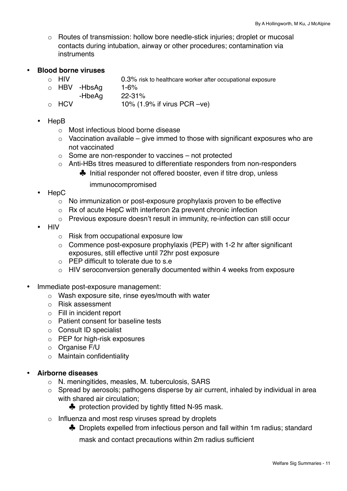o Routes of transmission: hollow bore needle-stick injuries; droplet or mucosal contacts during intubation, airway or other procedures; contamination via instruments

#### • **Blood borne viruses**

- o HIV 0.3% risk to healthcare worker after occupational exposure
- $\circ$  HBV -HbsAg 1-6%
- -HbeAg 22-31%
- $\circ$  HCV 10% (1.9% if virus PCR –ve)

#### • HepB

- o Most infectious blood borne disease
- $\circ$  Vaccination available give immed to those with significant exposures who are not vaccinated
- $\circ$  Some are non-responder to vaccines not protected
- o Anti-HBs titres measured to differentiate responders from non-responders
	- ♣ Initial responder not offered booster, even if titre drop, unless

immunocompromised

- HepC
	- o No immunization or post-exposure prophylaxis proven to be effective
	- o Rx of acute HepC with interferon 2a prevent chronic infection
	- o Previous exposure doesn't result in immunity, re-infection can still occur
- HIV
	- o Risk from occupational exposure low
	- $\circ$  Commence post-exposure prophylaxis (PEP) with 1-2 hr after significant exposures, still effective until 72hr post exposure
	- o PEP difficult to tolerate due to s.e
	- o HIV seroconversion generally documented within 4 weeks from exposure
- Immediate post-exposure management:
	- o Wash exposure site, rinse eyes/mouth with water
	- o Risk assessment
	- o Fill in incident report
	- o Patient consent for baseline tests
	- o Consult ID specialist
	- o PEP for high-risk exposures
	- o Organise F/U
	- o Maintain confidentiality

### • **Airborne diseases**

- o N. meningitides, measles, M. tuberculosis, SARS
- o Spread by aerosols; pathogens disperse by air current, inhaled by individual in area with shared air circulation;
	- ♣ protection provided by tightly fitted N-95 mask.
- o Influenza and most resp viruses spread by droplets
	- ♣ Droplets expelled from infectious person and fall within 1m radius; standard

mask and contact precautions within 2m radius sufficient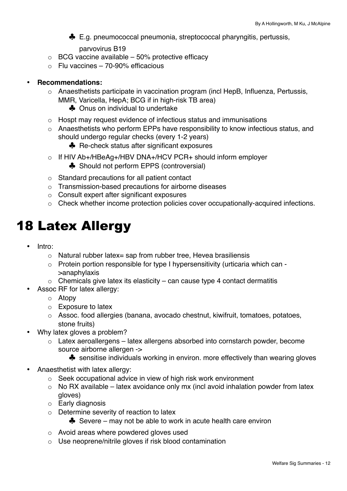♣ E.g. pneumococcal pneumonia, streptococcal pharyngitis, pertussis,

parvovirus B19

- $\circ$  BCG vaccine available 50% protective efficacy
- o Flu vaccines 70-90% efficacious

#### • **Recommendations:**

- o Anaesthetists participate in vaccination program (incl HepB, Influenza, Pertussis, MMR, Varicella, HepA; BCG if in high-risk TB area)
	- ♣ Onus on individual to undertake
- o Hospt may request evidence of infectious status and immunisations
- o Anaesthetists who perform EPPs have responsibility to know infectious status, and should undergo regular checks (every 1-2 years)
	- ♣ Re-check status after significant exposures
- o If HIV Ab+/HBeAg+/HBV DNA+/HCV PCR+ should inform employer
	- ♣ Should not perform EPPS (controversial)
- o Standard precautions for all patient contact
- o Transmission-based precautions for airborne diseases
- o Consult expert after significant exposures
- o Check whether income protection policies cover occupationally-acquired infections.

## <span id="page-11-0"></span>18 Latex Allergy

- Intro:
	- $\circ$  Natural rubber latex= sap from rubber tree. Hevea brasiliensis
	- o Protein portion responsible for type I hypersensitivity (urticaria which can >anaphylaxis
	- $\circ$  Chemicals give latex its elasticity can cause type 4 contact dermatitis
- Assoc RF for latex allergy:
	- o Atopy
	- o Exposure to latex
	- o Assoc. food allergies (banana, avocado chestnut, kiwifruit, tomatoes, potatoes, stone fruits)
- Why latex gloves a problem?
	- $\circ$  Latex aeroallergens latex allergens absorbed into cornstarch powder, become source airborne allergen ->
		- ♣ sensitise individuals working in environ. more effectively than wearing gloves
- Anaesthetist with latex allergy:
	- o Seek occupational advice in view of high risk work environment
	- $\circ$  No RX available latex avoidance only mx (incl avoid inhalation powder from latex gloves)
	- o Early diagnosis
	- o Determine severity of reaction to latex
		- ♣ Severe may not be able to work in acute health care environ
	- o Avoid areas where powdered gloves used
	- o Use neoprene/nitrile gloves if risk blood contamination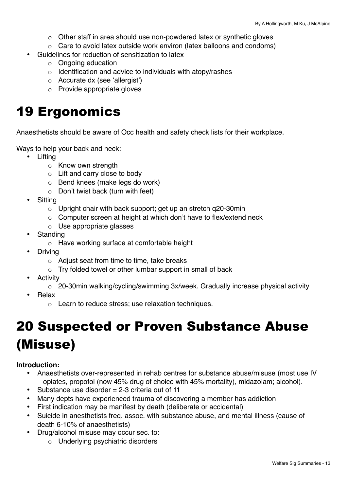- $\circ$  Other staff in area should use non-powdered latex or synthetic gloves
- o Care to avoid latex outside work environ (latex balloons and condoms)
- Guidelines for reduction of sensitization to latex
	- o Ongoing education
	- o Identification and advice to individuals with atopy/rashes
	- o Accurate dx (see 'allergist')
	- o Provide appropriate gloves

## <span id="page-12-0"></span>19 Ergonomics

Anaesthetists should be aware of Occ health and safety check lists for their workplace.

Ways to help your back and neck:

- Lifting
	- o Know own strength
	- o Lift and carry close to body
	- o Bend knees (make legs do work)
	- $\circ$  Don't twist back (turn with feet)
- **Sitting** 
	- $\circ$  Upright chair with back support; get up an stretch g20-30min
	- o Computer screen at height at which don't have to flex/extend neck
	- o Use appropriate glasses
- **Standing** 
	- o Have working surface at comfortable height
- **Driving** 
	- $\circ$  Adiust seat from time to time, take breaks
	- $\circ$  Try folded towel or other lumbar support in small of back
- **Activity** 
	- o 20-30min walking/cycling/swimming 3x/week. Gradually increase physical activity
- Relax
	- o Learn to reduce stress; use relaxation techniques.

# <span id="page-12-1"></span>20 Suspected or Proven Substance Abuse (Misuse)

#### **Introduction:**

- Anaesthetists over-represented in rehab centres for substance abuse/misuse (most use IV – opiates, propofol (now 45% drug of choice with 45% mortality), midazolam; alcohol).
- Substance use disorder  $= 2-3$  criteria out of 11
- Many depts have experienced trauma of discovering a member has addiction
- First indication may be manifest by death (deliberate or accidental)
- Suicide in anesthetists freq. assoc. with substance abuse, and mental illness (cause of death 6-10% of anaesthetists)
- Drug/alcohol misuse may occur sec. to:
	- o Underlying psychiatric disorders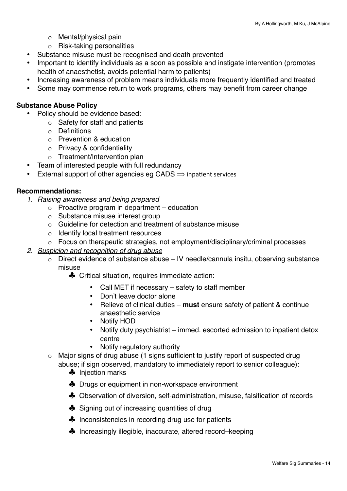- o Mental/physical pain
- o Risk-taking personalities
- Substance misuse must be recognised and death prevented
- Important to identify individuals as a soon as possible and instigate intervention (promotes health of anaesthetist, avoids potential harm to patients)
- Increasing awareness of problem means individuals more frequently identified and treated
- Some may commence return to work programs, others may benefit from career change

#### **Substance Abuse Policy**

- Policy should be evidence based:
	- o Safety for staff and patients
	- o Definitions
	- o Prevention & education
	- o Privacy & confidentiality
	- o Treatment/Intervention plan
- Team of interested people with full redundancy
- External support of other agencies eg CADS  $\Rightarrow$  inpatient services

#### **Recommendations:**

- *1. Raising awareness and being prepared*
	- $\circ$  Proactive program in department education
	- $\circ$  Substance misuse interest group
	- o Guideline for detection and treatment of substance misuse
	- o Identify local treatment resources
	- $\circ$  Focus on therapeutic strategies, not employment/disciplinary/criminal processes

#### *2. Suspicion and recognition of drug abuse*

- o Direct evidence of substance abuse IV needle/cannula insitu, observing substance misuse
	- ♣ Critical situation, requires immediate action:
		- Call MET if necessary safety to staff member
		- Don't leave doctor alone
		- Relieve of clinical duties **must** ensure safety of patient & continue anaesthetic service
		- Notify HOD
		- Notify duty psychiatrist immed. escorted admission to inpatient detox centre
		- Notify regulatory authority
- o Major signs of drug abuse (1 signs sufficient to justify report of suspected drug abuse; if sign observed, mandatory to immediately report to senior colleague):
	- ♣ Injection marks
	- ♣ Drugs or equipment in non-workspace environment
	- ♣ Observation of diversion, self-administration, misuse, falsification of records
	- ♣ Signing out of increasing quantities of drug
	- ♣ Inconsistencies in recording drug use for patients
	- ♣ Increasingly illegible, inaccurate, altered record–keeping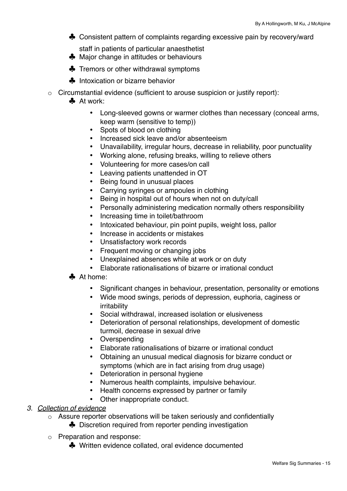- ♣ Consistent pattern of complaints regarding excessive pain by recovery/ward
- staff in patients of particular anaesthetist
- ♣ Major change in attitudes or behaviours
- ♣ Tremors or other withdrawal symptoms
- ♣ Intoxication or bizarre behavior
- o Circumstantial evidence (sufficient to arouse suspicion or justify report):
	- ♣ At work:
		- Long-sleeved gowns or warmer clothes than necessary (conceal arms, keep warm (sensitive to temp))
		- Spots of blood on clothing
		- Increased sick leave and/or absenteeism
		- Unavailability, irregular hours, decrease in reliability, poor punctuality
		- Working alone, refusing breaks, willing to relieve others
		- Volunteering for more cases/on call
		- Leaving patients unattended in OT
		- Being found in unusual places
		- Carrying syringes or ampoules in clothing
		- Being in hospital out of hours when not on duty/call
		- Personally administering medication normally others responsibility
		- Increasing time in toilet/bathroom
		- Intoxicated behaviour, pin point pupils, weight loss, pallor
		- Increase in accidents or mistakes
		- Unsatisfactory work records
		- Frequent moving or changing jobs
		- Unexplained absences while at work or on duty
		- Elaborate rationalisations of bizarre or irrational conduct
	- ♣ At home:
		- Significant changes in behaviour, presentation, personality or emotions
		- Wide mood swings, periods of depression, euphoria, caginess or irritability
		- Social withdrawal, increased isolation or elusiveness
		- Deterioration of personal relationships, development of domestic turmoil, decrease in sexual drive
		- Overspending
		- Elaborate rationalisations of bizarre or irrational conduct
		- Obtaining an unusual medical diagnosis for bizarre conduct or symptoms (which are in fact arising from drug usage)
		- Deterioration in personal hygiene
		- Numerous health complaints, impulsive behaviour.
		- Health concerns expressed by partner or family
		- Other inappropriate conduct.

### *3. Collection of evidence*

- o Assure reporter observations will be taken seriously and confidentially
	- ♣ Discretion required from reporter pending investigation
- o Preparation and response:
	- ♣ Written evidence collated, oral evidence documented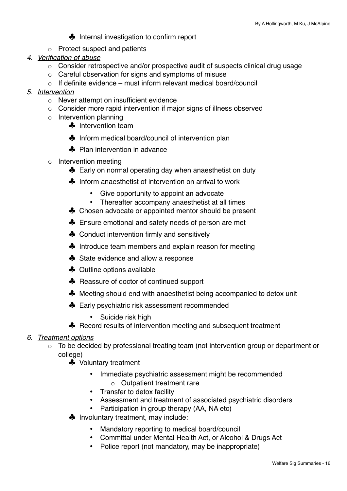♣ Internal investigation to confirm report

- o Protect suspect and patients
- *4. Verification of abuse*
	- o Consider retrospective and/or prospective audit of suspects clinical drug usage
	- o Careful observation for signs and symptoms of misuse
	- $\circ$  If definite evidence must inform relevant medical board/council
- *5. Intervention*
	- o Never attempt on insufficient evidence
	- o Consider more rapid intervention if major signs of illness observed
	- o Intervention planning
		- ♣ Intervention team
		- ♣ Inform medical board/council of intervention plan
		- ♣ Plan intervention in advance
	- o Intervention meeting
		- ♣ Early on normal operating day when anaesthetist on duty
		- ♣ Inform anaesthetist of intervention on arrival to work
			- Give opportunity to appoint an advocate
			- Thereafter accompany anaesthetist at all times
		- ♣ Chosen advocate or appointed mentor should be present
		- ♣ Ensure emotional and safety needs of person are met
		- ♣ Conduct intervention firmly and sensitively
		- ♣ Introduce team members and explain reason for meeting
		- ♣ State evidence and allow a response
		- ♣ Outline options available
		- ♣ Reassure of doctor of continued support
		- ♣ Meeting should end with anaesthetist being accompanied to detox unit
		- ♣ Early psychiatric risk assessment recommended
			- Suicide risk high
		- ♣ Record results of intervention meeting and subsequent treatment
- *6. Treatment options*
	- o To be decided by professional treating team (not intervention group or department or college)
		- ♣ Voluntary treatment
			- Immediate psychiatric assessment might be recommended
				- o Outpatient treatment rare
			- Transfer to detox facility
			- Assessment and treatment of associated psychiatric disorders
			- Participation in group therapy (AA, NA etc)
		- ♣ Involuntary treatment, may include:
			- Mandatory reporting to medical board/council
			- Committal under Mental Health Act, or Alcohol & Drugs Act
			- Police report (not mandatory, may be inappropriate)